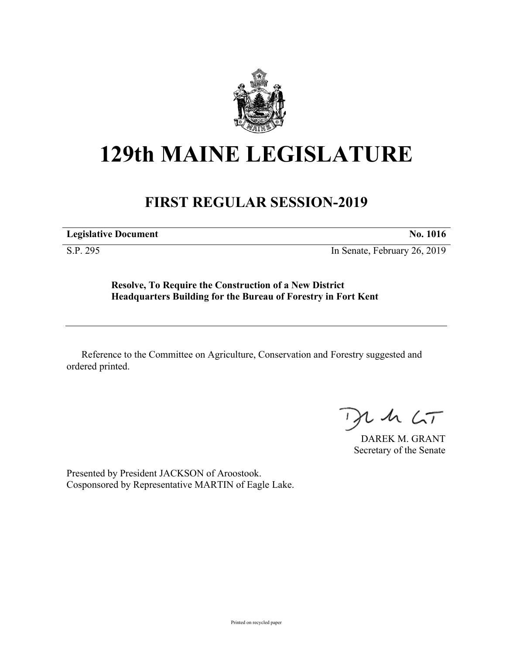

## **129th MAINE LEGISLATURE**

## **FIRST REGULAR SESSION-2019**

**Legislative Document No. 1016**

S.P. 295 In Senate, February 26, 2019

**Resolve, To Require the Construction of a New District Headquarters Building for the Bureau of Forestry in Fort Kent**

Reference to the Committee on Agriculture, Conservation and Forestry suggested and ordered printed.

 $425$ 

DAREK M. GRANT Secretary of the Senate

Presented by President JACKSON of Aroostook. Cosponsored by Representative MARTIN of Eagle Lake.